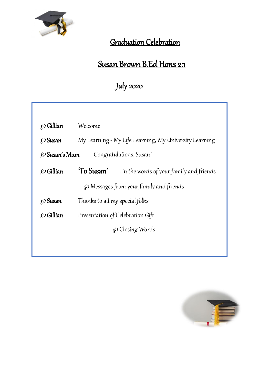

### Graduation Celebration

## Susan Brown B.Ed Hons 2:1

# July 2020

|                                                 | Welcome                                                  |
|-------------------------------------------------|----------------------------------------------------------|
| $\wp$ Gillian                                   |                                                          |
| $\wp$ Susan                                     | My Learning - My Life Learning, My University Learning   |
| Congratulations, Susan!<br>$\wp$ Susan's Mum    |                                                          |
| $\wp$ Gillian                                   | <b>To Susan'</b> in the words of your family and friends |
| <i>(O</i> Messages from your family and friends |                                                          |
| $\wp$ Susan                                     | Thanks to all my special folks                           |
| <i>⊗</i> Gillian                                | Presentation of Celebration Gift                         |
|                                                 | <i><u>C</u></i> Closing Words                            |
|                                                 |                                                          |

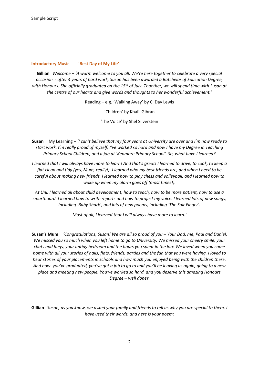#### **Introductory Music 'Best Day of My Life'**

**Gillian** *Welcome – 'A warm welcome to you all. We're here together to celebrate a very special occasion - after 4 years of hard work, Susan has been awarded a Batchelor of Education Degree, with Honours. She officially graduated on the 15th of July. Together, we will spend time with Susan at the centre of our hearts and give words and thoughts to her wonderful achievement.'*

Reading – e.g. 'Walking Away' by C. Day Lewis

'Children' by Khalil Gibran

'The Voice' by Shel Silverstein

**Susan** My Learning – *'I can't believe that my four years at University are over and I'm now ready to start work. I'm really proud of myself, I've worked so hard and now I have my Degree in Teaching Primary School Children, and a job at 'Kenmore Primary School'. So, what have I learned?*

*I learned that I will always have more to learn! And that's great! I learned to drive, to cook, to keep a flat clean and tidy (yes, Mum, really!). I learned who my best friends are, and when I need to be careful about making new friends. I learned how to play chess and volleyball, and I learned how to wake up when my alarm goes off (most times!).*

*At Uni, I learned all about child development, how to teach, how to be more patient, how to use a smartboard. I learned how to write reports and how to project my voice. I learned lots of new songs, including 'Baby Shark', and lots of new poems, including 'The Sair Finger'.*

*Most of all, I learned that I will always have more to learn.'* 

**Susan's Mum** *'Congratulations, Susan! We are all so proud of you – Your Dad, me, Paul and Daniel. We missed you so much when you left home to go to University. We missed your cheery smile, your chats and hugs, your untidy bedroom and the hours you spent in the loo! We loved when you came home with all your stories of halls, flats, friends, parties and the fun that you were having. I loved to hear stories of your placements in schools and how much you enjoyed being with the children there. And now you've graduated, you've got a job to go to and you'll be leaving us again, going to a new place and meeting new people. You've worked so hard, and you deserve this amazing Honours Degree – well done!*'

**Gillian** *Susan, as you know, we asked your family and friends to tell us why you are special to them. I have used their words, and here is your poem:*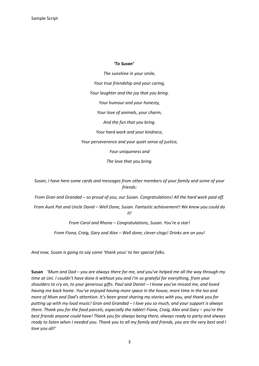#### *'To Susan'*

*The sunshine in your smile, Your true friendship and your caring, Your laughter and the joy that you bring. Your humour and your honesty, Your love of animals, your charm, And the fun that you bring. Your hard work and your kindness, Your perseverance and your quiet sense of justice, Your uniqueness and The love that you bring.*

*Susan, I have here some cards and messages from other members of your family and some of your friends:*

*From Gran and Grandad – so proud of you, our Susan. Congratulations! All the hard work paid off.*

*From Aunt Pat and Uncle David – Well Done, Susan. Fantastic achievement! We knew you could do it!*

*From Carol and Rhona – Congratulations, Susan. You're a star!*

*From Fiona, Craig, Gary and Alex – Well done, clever-clogs! Drinks are on you!*

*And now, Susan is going to say some 'thank yous' to her special folks.*

**Susan** *'Mum and Dad – you are always there for me, and you've helped me all the way through my time at Uni. I couldn't have done it without you and I'm so grateful for everything, from your shoulders to cry on, to your generous gifts. Paul and Daniel – I know you've missed me, and loved having me back home. You've enjoyed having more space in the house, more time in the loo and more of Mum and Dad's attention. It's been great sharing my stories with you, and thank you for putting up with my loud music! Gran and Grandad – I love you so much, and your support is always there. Thank you for the food parcels, especially the tablet! Fiona, Craig, Alex and Gary – you're the best friends anyone could have! Thank you for always being there, always ready to party and always ready to listen when I needed you. Thank you to all my family and friends, you are the very best and I love you all!'*